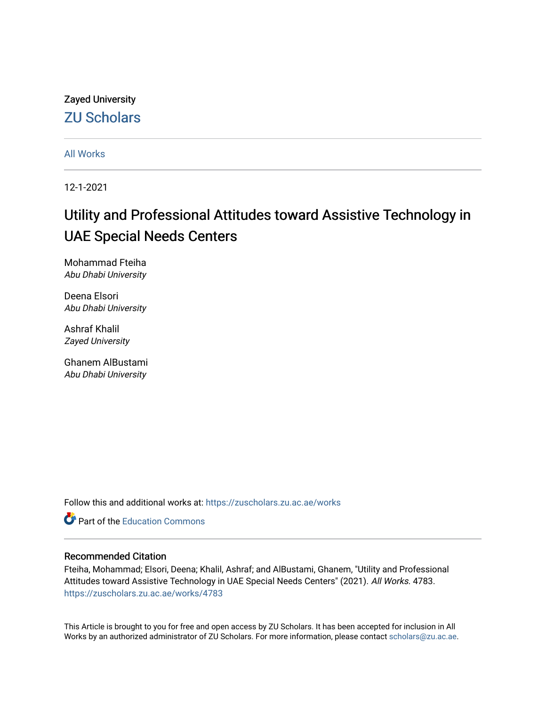Zayed University [ZU Scholars](https://zuscholars.zu.ac.ae/) 

[All Works](https://zuscholars.zu.ac.ae/works)

12-1-2021

# Utility and Professional Attitudes toward Assistive Technology in UAE Special Needs Centers

Mohammad Fteiha Abu Dhabi University

Deena Elsori Abu Dhabi University

Ashraf Khalil Zayed University

Ghanem AlBustami Abu Dhabi University

Follow this and additional works at: [https://zuscholars.zu.ac.ae/works](https://zuscholars.zu.ac.ae/works?utm_source=zuscholars.zu.ac.ae%2Fworks%2F4783&utm_medium=PDF&utm_campaign=PDFCoverPages)

**C** Part of the [Education Commons](http://network.bepress.com/hgg/discipline/784?utm_source=zuscholars.zu.ac.ae%2Fworks%2F4783&utm_medium=PDF&utm_campaign=PDFCoverPages)

## Recommended Citation

Fteiha, Mohammad; Elsori, Deena; Khalil, Ashraf; and AlBustami, Ghanem, "Utility and Professional Attitudes toward Assistive Technology in UAE Special Needs Centers" (2021). All Works. 4783. [https://zuscholars.zu.ac.ae/works/4783](https://zuscholars.zu.ac.ae/works/4783?utm_source=zuscholars.zu.ac.ae%2Fworks%2F4783&utm_medium=PDF&utm_campaign=PDFCoverPages)

This Article is brought to you for free and open access by ZU Scholars. It has been accepted for inclusion in All Works by an authorized administrator of ZU Scholars. For more information, please contact [scholars@zu.ac.ae](mailto:scholars@zu.ac.ae).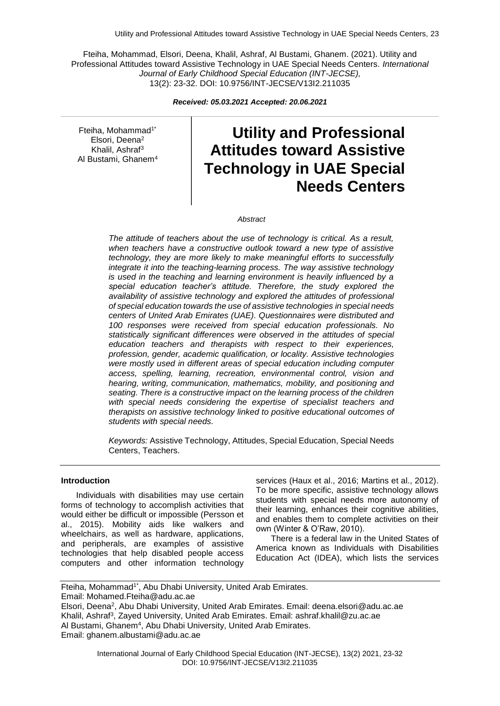Fteiha, Mohammad, Elsori, Deena, Khalil, Ashraf, Al Bustami, Ghanem. (2021). Utility and Professional Attitudes toward Assistive Technology in UAE Special Needs Centers. *International Journal of Early Childhood Special Education (INT-JECSE),* 13(2): 23-32. DOI: 10.9756/INT-JECSE/V13I2.211035

*Received: 05.03.2021 Accepted: 20.06.2021*

Fteiha, Mohammad1\* Elsori, Deena<sup>2</sup> Khalil, Ashraf<sup>3</sup> Al Bustami, Ghanem4

# **Utility and Professional Attitudes toward Assistive Technology in UAE Special Needs Centers**

*Abstract*

*The attitude of teachers about the use of technology is critical. As a result, when teachers have a constructive outlook toward a new type of assistive technology, they are more likely to make meaningful efforts to successfully integrate it into the teaching-learning process. The way assistive technology is used in the teaching and learning environment is heavily influenced by a special education teacher's attitude. Therefore, the study explored the availability of assistive technology and explored the attitudes of professional of special education towards the use of assistive technologies in special needs centers of United Arab Emirates (UAE). Questionnaires were distributed and 100 responses were received from special education professionals. No statistically significant differences were observed in the attitudes of special education teachers and therapists with respect to their experiences, profession, gender, academic qualification, or locality. Assistive technologies were mostly used in different areas of special education including computer access, spelling, learning, recreation, environmental control, vision and hearing, writing, communication, mathematics, mobility, and positioning and seating. There is a constructive impact on the learning process of the children with special needs considering the expertise of specialist teachers and therapists on assistive technology linked to positive educational outcomes of students with special needs.*

*Keywords:* Assistive Technology, Attitudes, Special Education, Special Needs Centers, Teachers.

#### **Introduction**

Individuals with disabilities may use certain forms of technology to accomplish activities that would either be difficult or impossible (Persson et al., 2015). Mobility aids like walkers and wheelchairs, as well as hardware, applications, and peripherals, are examples of assistive technologies that help disabled people access computers and other information technology

services (Haux et al., 2016; Martins et al., 2012). To be more specific, assistive technology allows students with special needs more autonomy of their learning, enhances their cognitive abilities. and enables them to complete activities on their own (Winter & O'Raw, 2010).

There is a federal law in the United States of America known as Individuals with Disabilities Education Act (IDEA), which lists the services

Fteiha, Mohammad<sup>1\*</sup>, Abu Dhabi University, United Arab Emirates. Email: Mohamed.Fteiha@adu.ac.ae Elsori, Deena<sup>2</sup> , Abu Dhabi University, United Arab Emirates. Email: deena.elsori@adu.ac.ae Khalil, Ashraf<sup>3</sup>, Zayed University, United Arab Emirates. Email: ashraf.khalil@zu.ac.ae Al Bustami, Ghanem<sup>4</sup>, Abu Dhabi University, United Arab Emirates. Email: ghanem.albustami@adu.ac.ae

> International Journal of Early Childhood Special Education (INT-JECSE), 13(2) 2021, 23-32 DOI: 10.9756/INT-JECSE/V13I2.211035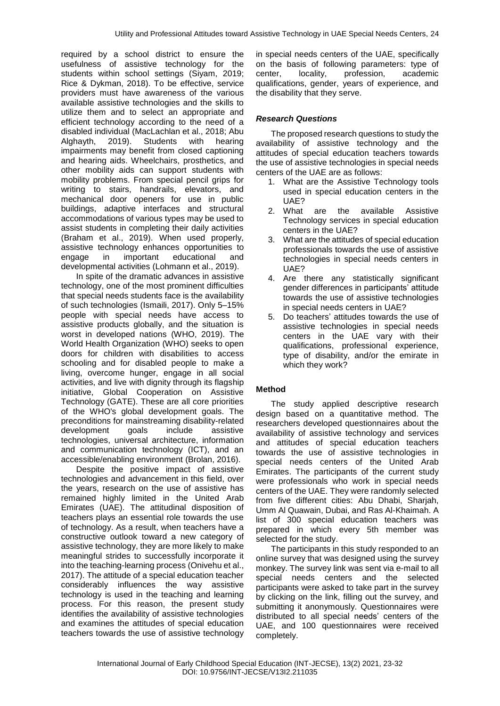required by a school district to ensure the usefulness of assistive technology for the students within school settings (Siyam, 2019; Rice & Dykman, 2018). To be effective, service providers must have awareness of the various available assistive technologies and the skills to utilize them and to select an appropriate and efficient technology according to the need of a disabled individual (MacLachlan et al., 2018; Abu Alghayth, 2019). Students with hearing impairments may benefit from closed captioning and hearing aids. Wheelchairs, prosthetics, and other mobility aids can support students with mobility problems. From special pencil grips for writing to stairs, handrails, elevators, and mechanical door openers for use in public buildings, adaptive interfaces and structural accommodations of various types may be used to assist students in completing their daily activities (Braham et al., 2019). When used properly, assistive technology enhances opportunities to engage in important educational and developmental activities (Lohmann et al., 2019).

In spite of the dramatic advances in assistive technology, one of the most prominent difficulties that special needs students face is the availability of such technologies (Ismaili, 2017). Only 5–15% people with special needs have access to assistive products globally, and the situation is worst in developed nations (WHO, 2019). The World Health Organization (WHO) seeks to open doors for children with disabilities to access schooling and for disabled people to make a living, overcome hunger, engage in all social activities, and live with dignity through its flagship initiative, Global Cooperation on Assistive Technology (GATE). These are all core priorities of the WHO's global development goals. The preconditions for mainstreaming disability-related development goals include assistive technologies, universal architecture, information and communication technology (ICT), and an accessible/enabling environment (Brolan, 2016).

Despite the positive impact of assistive technologies and advancement in this field, over the years, research on the use of assistive has remained highly limited in the United Arab Emirates (UAE). The attitudinal disposition of teachers plays an essential role towards the use of technology. As a result, when teachers have a constructive outlook toward a new category of assistive technology, they are more likely to make meaningful strides to successfully incorporate it into the teaching-learning process (Onivehu et al., 2017). The attitude of a special education teacher considerably influences the way assistive technology is used in the teaching and learning process. For this reason, the present study identifies the availability of assistive technologies and examines the attitudes of special education teachers towards the use of assistive technology

in special needs centers of the UAE, specifically on the basis of following parameters: type of center, locality, profession, academic qualifications, gender, years of experience, and the disability that they serve.

## *Research Questions*

The proposed research questions to study the availability of assistive technology and the attitudes of special education teachers towards the use of assistive technologies in special needs centers of the UAE are as follows:

- 1. What are the Assistive Technology tools used in special education centers in the UAE?
- 2. What are the available Assistive Technology services in special education centers in the UAE?
- 3. What are the attitudes of special education professionals towards the use of assistive technologies in special needs centers in UAE?
- 4. Are there any statistically significant gender differences in participants' attitude towards the use of assistive technologies in special needs centers in UAE?
- 5. Do teachers' attitudes towards the use of assistive technologies in special needs centers in the UAE vary with their qualifications, professional experience, type of disability, and/or the emirate in which they work?

# **Method**

The study applied descriptive research design based on a quantitative method. The researchers developed questionnaires about the availability of assistive technology and services and attitudes of special education teachers towards the use of assistive technologies in special needs centers of the United Arab Emirates. The participants of the current study were professionals who work in special needs centers of the UAE. They were randomly selected from five different cities: Abu Dhabi, Sharjah, Umm Al Quawain, Dubai, and Ras Al-Khaimah. A list of 300 special education teachers was prepared in which every 5th member was selected for the study.

The participants in this study responded to an online survey that was designed using the survey monkey. The survey link was sent via e-mail to all special needs centers and the selected participants were asked to take part in the survey by clicking on the link, filling out the survey, and submitting it anonymously. Questionnaires were distributed to all special needs' centers of the UAE, and 100 questionnaires were received completely.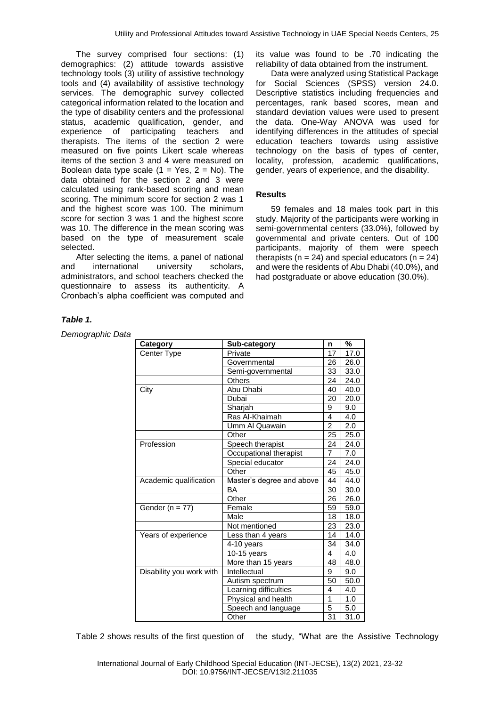The survey comprised four sections: (1) demographics: (2) attitude towards assistive technology tools (3) utility of assistive technology tools and (4) availability of assistive technology services. The demographic survey collected categorical information related to the location and the type of disability centers and the professional status, academic qualification, gender, and experience of participating teachers and therapists. The items of the section 2 were measured on five points Likert scale whereas items of the section 3 and 4 were measured on Boolean data type scale  $(1 = Yes, 2 = No)$ . The data obtained for the section 2 and 3 were calculated using rank-based scoring and mean scoring. The minimum score for section 2 was 1 and the highest score was 100. The minimum score for section 3 was 1 and the highest score was 10. The difference in the mean scoring was based on the type of measurement scale selected.

After selecting the items, a panel of national and international university scholars, administrators, and school teachers checked the questionnaire to assess its authenticity. A Cronbach's alpha coefficient was computed and

#### its value was found to be .70 indicating the reliability of data obtained from the instrument.

Data were analyzed using Statistical Package for Social Sciences (SPSS) version 24.0. Descriptive statistics including frequencies and percentages, rank based scores, mean and standard deviation values were used to present the data. One-Way ANOVA was used for identifying differences in the attitudes of special education teachers towards using assistive technology on the basis of types of center, locality, profession, academic qualifications, gender, years of experience, and the disability.

## **Results**

59 females and 18 males took part in this study. Majority of the participants were working in semi-governmental centers (33.0%), followed by governmental and private centers. Out of 100 participants, majority of them were speech therapists ( $n = 24$ ) and special educators ( $n = 24$ ) and were the residents of Abu Dhabi (40.0%), and had postgraduate or above education (30.0%).

## *Table 1.*

*Demographic Data*

| Category                 | Sub-category              | n               | %    |
|--------------------------|---------------------------|-----------------|------|
| Center Type              | Private                   | 17              | 17.0 |
|                          | Governmental              | 26              | 26.0 |
|                          | Semi-governmental         | 33              | 33.0 |
|                          | Others                    | 24              | 24.0 |
| City                     | Abu Dhabi                 | 40              | 40.0 |
|                          | Dubai                     | 20              | 20.0 |
|                          | Sharjah                   | 9               | 9.0  |
|                          | Ras Al-Khaimah            | 4               | 4.0  |
|                          | Umm Al Quawain            | $\overline{2}$  | 2.0  |
|                          | Other                     | 25              | 25.0 |
| Profession               | Speech therapist          | 24              | 24.0 |
|                          | Occupational therapist    | $\overline{7}$  | 7.0  |
|                          | Special educator          | 24              | 24.0 |
|                          | Other                     | 45              | 45.0 |
| Academic qualification   | Master's degree and above |                 | 44.0 |
|                          | BA                        | 30              | 30.0 |
|                          | Other                     | 26              | 26.0 |
| Gender ( $n = 77$ )      | Female                    | 59              | 59.0 |
|                          | Male                      | 18              | 18.0 |
|                          | Not mentioned             | 23              | 23.0 |
| Years of experience      | Less than 4 years         | 14              | 14.0 |
|                          | 4-10 years                | $\overline{34}$ | 34.0 |
|                          | 10-15 years               | 4               | 4.0  |
|                          | More than 15 years        | 48              | 48.0 |
| Disability you work with | Intellectual              | 9               | 9.0  |
|                          | Autism spectrum           | 50              | 50.0 |
|                          | Learning difficulties     | 4               | 4.0  |
|                          | Physical and health       | 1               | 1.0  |
|                          | Speech and language       | 5               | 5.0  |
|                          | Other                     | 31              | 31.0 |

Table 2 shows results of the first question of the study, "What are the Assistive Technology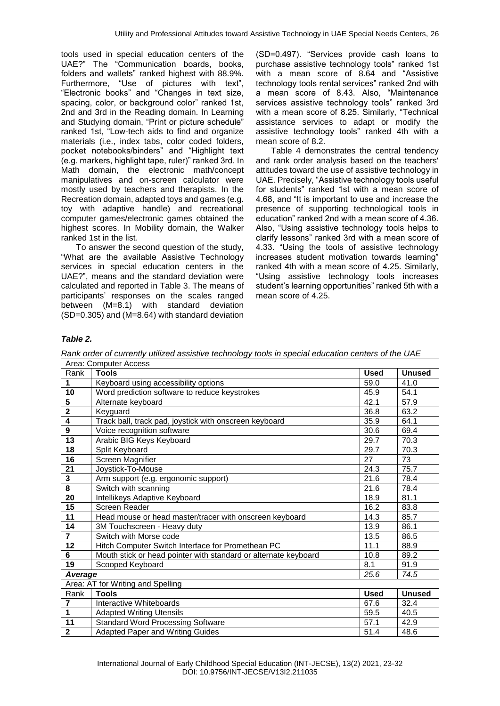tools used in special education centers of the UAE?" The "Communication boards, books, folders and wallets" ranked highest with 88.9%. Furthermore, "Use of pictures with text", "Electronic books" and "Changes in text size, spacing, color, or background color" ranked 1st, 2nd and 3rd in the Reading domain. In Learning and Studying domain, "Print or picture schedule" ranked 1st, "Low-tech aids to find and organize materials (i.e., index tabs, color coded folders, pocket notebooks/binders" and "Highlight text (e.g. markers, highlight tape, ruler)" ranked 3rd. In Math domain, the electronic math/concept manipulatives and on-screen calculator were mostly used by teachers and therapists. In the Recreation domain, adapted toys and games (e.g. toy with adaptive handle) and recreational computer games/electronic games obtained the highest scores. In Mobility domain, the Walker ranked 1st in the list.

To answer the second question of the study, "What are the available Assistive Technology services in special education centers in the UAE?", means and the standard deviation were calculated and reported in Table 3. The means of participants' responses on the scales ranged between (M=8.1) with standard deviation (SD=0.305) and (M=8.64) with standard deviation (SD=0.497). "Services provide cash loans to purchase assistive technology tools" ranked 1st with a mean score of 8.64 and "Assistive technology tools rental services" ranked 2nd with a mean score of 8.43. Also, "Maintenance services assistive technology tools" ranked 3rd with a mean score of 8.25. Similarly, "Technical assistance services to adapt or modify the assistive technology tools" ranked 4th with a mean score of 8.2.

Table 4 demonstrates the central tendency and rank order analysis based on the teachers' attitudes toward the use of assistive technology in UAE. Precisely, "Assistive technology tools useful for students" ranked 1st with a mean score of 4.68, and "It is important to use and increase the presence of supporting technological tools in education" ranked 2nd with a mean score of 4.36. Also, "Using assistive technology tools helps to clarify lessons" ranked 3rd with a mean score of 4.33. "Using the tools of assistive technology increases student motivation towards learning" ranked 4th with a mean score of 4.25. Similarly, "Using assistive technology tools increases student's learning opportunities" ranked 5th with a mean score of 4.25.

#### *Table 2.*

*Rank order of currently utilized assistive technology tools in special education centers of the UAE*

|                         | Area: Computer Access                                           |             |               |
|-------------------------|-----------------------------------------------------------------|-------------|---------------|
| Rank                    | <b>Tools</b>                                                    | <b>Used</b> | <b>Unused</b> |
| 1                       | Keyboard using accessibility options                            | 59.0        | 41.0          |
| 10                      | Word prediction software to reduce keystrokes                   | 45.9        | 54.1          |
| 5                       | Alternate keyboard                                              | 42.1        | 57.9          |
| $\overline{\mathbf{2}}$ | Keyguard                                                        | 36.8        | 63.2          |
| 4                       | Track ball, track pad, joystick with onscreen keyboard          | 35.9        | 64.1          |
| 9                       | Voice recognition software                                      | 30.6        | 69.4          |
| 13                      | Arabic BIG Keys Keyboard                                        | 29.7        | 70.3          |
| 18                      | Split Keyboard                                                  | 29.7        | 70.3          |
| 16                      | Screen Magnifier                                                | 27          | 73            |
| 21                      | Joystick-To-Mouse                                               | 24.3        | 75.7          |
| $\overline{\mathbf{3}}$ | Arm support (e.g. ergonomic support)                            | 21.6        | 78.4          |
| $\overline{\mathbf{8}}$ | Switch with scanning                                            | 21.6        | 78.4          |
| 20                      | Intellikeys Adaptive Keyboard                                   | 18.9        | 81.1          |
| 15                      | Screen Reader                                                   | 16.2        | 83.8          |
| 11                      | Head mouse or head master/tracer with onscreen keyboard         | 14.3        | 85.7          |
| 14                      | 3M Touchscreen - Heavy duty                                     | 13.9        | 86.1          |
| $\overline{7}$          | Switch with Morse code                                          | 13.5        | 86.5          |
| 12                      | Hitch Computer Switch Interface for Promethean PC               | 11.1        | 88.9          |
| 6                       | Mouth stick or head pointer with standard or alternate keyboard | 10.8        | 89.2          |
| 19                      | Scooped Keyboard                                                | 8.1         | 91.9          |
| Average                 |                                                                 | 25.6        | 74.5          |
|                         | Area: AT for Writing and Spelling                               |             |               |
| Rank                    | <b>Tools</b>                                                    | <b>Used</b> | <b>Unused</b> |
| $\overline{7}$          | Interactive Whiteboards                                         | 67.6        | 32.4          |
| 1                       | <b>Adapted Writing Utensils</b>                                 | 59.5        | 40.5          |
| 11                      | <b>Standard Word Processing Software</b>                        | 57.1        | 42.9          |
| $\overline{\mathbf{2}}$ | <b>Adapted Paper and Writing Guides</b>                         | 51.4        | 48.6          |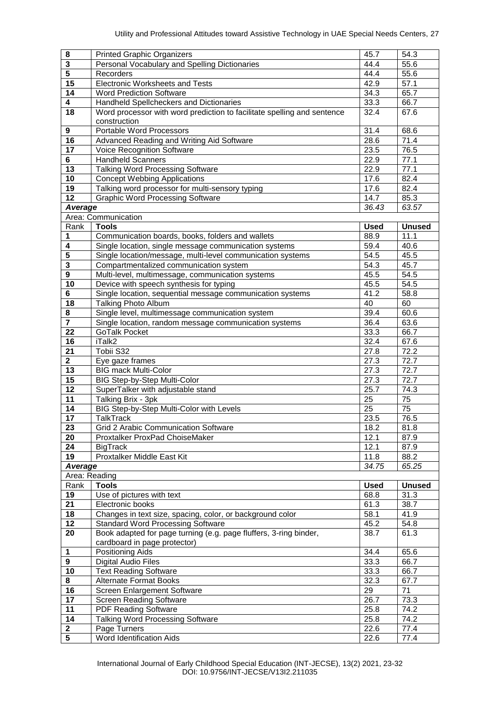| 8                       | <b>Printed Graphic Organizers</b>                                             | 45.7              | 54.3          |
|-------------------------|-------------------------------------------------------------------------------|-------------------|---------------|
| $\overline{\mathbf{3}}$ | Personal Vocabulary and Spelling Dictionaries                                 | $\overline{44.4}$ | 55.6          |
| $\overline{5}$          | Recorders                                                                     | 44.4              | 55.6          |
| 15                      | <b>Electronic Worksheets and Tests</b>                                        | 42.9              | 57.1          |
| $\overline{14}$         | <b>Word Prediction Software</b>                                               | 34.3              | 65.7          |
| 4                       | Handheld Spellcheckers and Dictionaries                                       | 33.3              | 66.7          |
| 18                      | Word processor with word prediction to facilitate spelling and sentence       | 32.4              | 67.6          |
|                         | construction                                                                  |                   |               |
| 9                       | <b>Portable Word Processors</b>                                               | 31.4              | 68.6          |
| 16                      | Advanced Reading and Writing Aid Software                                     | 28.6              | 71.4          |
| $\overline{17}$         | Voice Recognition Software                                                    | 23.5              | 76.5          |
| 6                       | <b>Handheld Scanners</b>                                                      | 22.9              | 77.1          |
| $\overline{13}$         | <b>Talking Word Processing Software</b>                                       | 22.9              | 77.1          |
| 10                      | <b>Concept Webbing Applications</b>                                           | 17.6              | 82.4          |
| $\overline{19}$         | Talking word processor for multi-sensory typing                               | 17.6              | 82.4          |
| $\overline{12}$         | <b>Graphic Word Processing Software</b>                                       | 14.7              | 85.3          |
| Average                 |                                                                               | 36.43             | 63.57         |
|                         | Area: Communication                                                           |                   |               |
| Rank                    | <b>Tools</b>                                                                  | <b>Used</b>       | <b>Unused</b> |
| 1                       | Communication boards, books, folders and wallets                              | 88.9              | 11.1          |
| 4                       | Single location, single message communication systems                         | 59.4              | 40.6          |
| $\overline{\mathbf{5}}$ | Single location/message, multi-level communication systems                    | 54.5              | 45.5          |
| $\overline{\mathbf{3}}$ | Compartmentalized communication system                                        | $\overline{54.3}$ | 45.7          |
| $\overline{\mathbf{9}}$ | Multi-level, multimessage, communication systems                              | 45.5              | 54.5          |
| 10                      | Device with speech synthesis for typing                                       | 45.5              | 54.5          |
| $\overline{\mathbf{6}}$ | Single location, sequential message communication systems                     | 41.2              | 58.8          |
| 18                      | <b>Talking Photo Album</b>                                                    | 40                | 60            |
| 8                       | Single level, multimessage communication system                               | 39.4              | 60.6          |
| $\overline{\mathbf{r}}$ | Single location, random message communication systems                         | 36.4              | 63.6          |
| 22                      | <b>GoTalk Pocket</b>                                                          | 33.3              | 66.7          |
| 16                      | iTalk2                                                                        | 32.4              | 67.6          |
| $\overline{21}$         | Tobii S32                                                                     | 27.8              | 72.2          |
| $\overline{\mathbf{2}}$ | Eye gaze frames                                                               | 27.3              | 72.7          |
| $\overline{13}$         | <b>BIG mack Multi-Color</b>                                                   | 27.3              | 72.7          |
| 15                      | <b>BIG Step-by-Step Multi-Color</b>                                           | 27.3              | 72.7          |
| $\overline{12}$         | SuperTalker with adjustable stand                                             | 25.7              | 74.3          |
| 11                      | Talking Brix - 3pk                                                            | 25                | 75            |
| 14                      | BIG Step-by-Step Multi-Color with Levels                                      | $\overline{25}$   | 75            |
| 17                      | <b>TalkTrack</b>                                                              | 23.5              | 76.5          |
|                         |                                                                               |                   |               |
| 23<br>20                | Grid 2 Arabic Communication Software<br>Proxtalker ProxPad ChoiseMaker        | 18.2<br>12.1      | 81.8          |
| 24                      |                                                                               |                   | 87.9          |
| 19                      | <b>BigTrack</b><br>Proxtalker Middle East Kit                                 | 12.1              | 87.9          |
|                         |                                                                               | 11.8<br>34.75     | 88.2<br>65.25 |
| <b>Average</b>          | Area: Reading                                                                 |                   |               |
|                         |                                                                               |                   |               |
| Rank                    | <b>Tools</b>                                                                  | <b>Used</b>       | <b>Unused</b> |
| 19                      | Use of pictures with text                                                     | 68.8              | 31.3          |
| 21<br>18                | Electronic books<br>Changes in text size, spacing, color, or background color | 61.3              | 38.7          |
|                         |                                                                               | 58.1              | 41.9          |
| 12                      | <b>Standard Word Processing Software</b>                                      | 45.2              | 54.8          |
| 20                      | Book adapted for page turning (e.g. page fluffers, 3-ring binder,             | 38.7              | 61.3          |
|                         | cardboard in page protector)                                                  |                   |               |
| 1                       | Positioning Aids                                                              | 34.4              | 65.6          |
| 9                       | <b>Digital Audio Files</b>                                                    | 33.3              | 66.7          |
| 10                      | <b>Text Reading Software</b>                                                  | 33.3              | 66.7          |
| 8                       | <b>Alternate Format Books</b>                                                 | 32.3              | 67.7          |
| 16                      | Screen Enlargement Software                                                   | 29                | 71            |
| $\overline{17}$         | <b>Screen Reading Software</b>                                                | 26.7              | 73.3          |
| 11                      | <b>PDF Reading Software</b>                                                   | 25.8              | 74.2          |
| 14                      | <b>Talking Word Processing Software</b>                                       | 25.8              | 74.2          |
| $\mathbf 2$             | Page Turners                                                                  | 22.6              | 77.4          |
| $\overline{5}$          | Word Identification Aids                                                      | 22.6              | 77.4          |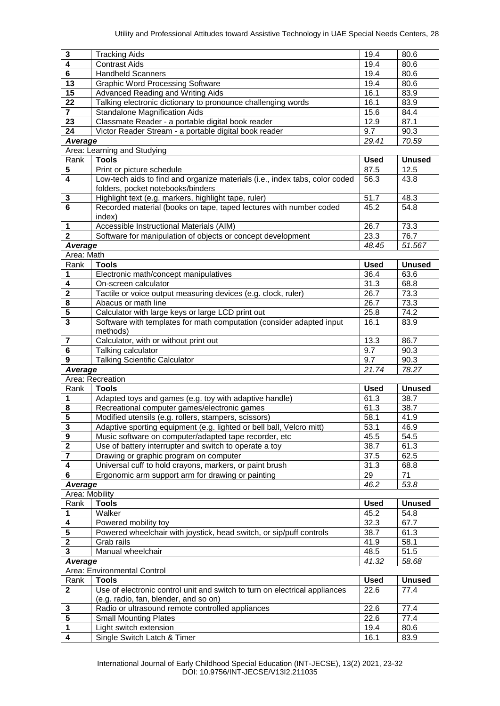| $\mathbf 3$             | <b>Tracking Aids</b>                                                                                         | 19.4        | 80.6          |
|-------------------------|--------------------------------------------------------------------------------------------------------------|-------------|---------------|
| $\overline{4}$          | <b>Contrast Aids</b>                                                                                         | 19.4        | 80.6          |
| 6                       | Handheld Scanners                                                                                            | 19.4        | 80.6          |
| $\overline{13}$         | <b>Graphic Word Processing Software</b>                                                                      | 19.4        | 80.6          |
| $\overline{15}$         | Advanced Reading and Writing Aids                                                                            | 16.1        | 83.9          |
| 22                      | Talking electronic dictionary to pronounce challenging words                                                 | 16.1        | 83.9          |
| $\overline{\mathbf{r}}$ | <b>Standalone Magnification Aids</b>                                                                         | 15.6        | 84.4          |
| 23                      | Classmate Reader - a portable digital book reader                                                            | 12.9        | 87.1          |
| 24                      | Victor Reader Stream - a portable digital book reader                                                        | 9.7         | 90.3          |
| Average                 |                                                                                                              | 29.41       | 70.59         |
|                         | Area: Learning and Studying                                                                                  |             |               |
| Rank                    | <b>Tools</b>                                                                                                 | <b>Used</b> | <b>Unused</b> |
| $\overline{\mathbf{5}}$ | Print or picture schedule                                                                                    | 87.5        | 12.5          |
| 4                       | Low-tech aids to find and organize materials (i.e., index tabs, color coded                                  | 56.3        | 43.8          |
|                         | folders, pocket notebooks/binders                                                                            |             |               |
| 3                       | Highlight text (e.g. markers, highlight tape, ruler)                                                         | 51.7        | 48.3          |
| $\overline{\mathbf{6}}$ | Recorded material (books on tape, taped lectures with number coded                                           | 45.2        | 54.8          |
|                         | index)                                                                                                       |             |               |
| 1                       | Accessible Instructional Materials (AIM)                                                                     | 26.7        | 73.3          |
| $\overline{2}$          | Software for manipulation of objects or concept development                                                  | 23.3        | 76.7          |
| <b>Average</b>          |                                                                                                              | 48.45       | 51.567        |
| Area: Math              |                                                                                                              |             |               |
| Rank                    | <b>Tools</b>                                                                                                 | <b>Used</b> | <b>Unused</b> |
| 1                       | Electronic math/concept manipulatives                                                                        | 36.4        | 63.6          |
| 4                       | On-screen calculator                                                                                         | 31.3        | 68.8          |
| $\overline{2}$          | Tactile or voice output measuring devices (e.g. clock, ruler)                                                | 26.7        | 73.3          |
| 8                       | Abacus or math line                                                                                          | 26.7        | 73.3          |
| 5                       | Calculator with large keys or large LCD print out                                                            | 25.8        | 74.2          |
| $\overline{\mathbf{3}}$ | Software with templates for math computation (consider adapted input                                         | 16.1        | 83.9          |
|                         | methods)                                                                                                     |             |               |
| 7                       | Calculator, with or without print out                                                                        | 13.3        | 86.7          |
| 6                       | Talking calculator                                                                                           | 9.7         | 90.3          |
|                         |                                                                                                              |             |               |
| $\overline{9}$          |                                                                                                              | 9.7         | 90.3          |
|                         | <b>Talking Scientific Calculator</b>                                                                         | 21.74       | 78.27         |
| Average                 | Area: Recreation                                                                                             |             |               |
| Rank                    | <b>Tools</b>                                                                                                 | <b>Used</b> | <b>Unused</b> |
| 1                       | Adapted toys and games (e.g. toy with adaptive handle)                                                       | 61.3        | 38.7          |
| 8                       |                                                                                                              | 61.3        | 38.7          |
| $\overline{\mathbf{5}}$ | Recreational computer games/electronic games                                                                 | 58.1        |               |
|                         | Modified utensils (e.g. rollers, stampers, scissors)                                                         | 53.1        | 41.9<br>46.9  |
| 3<br>9                  | Adaptive sporting equipment (e.g. lighted or bell ball, Velcro mitt)                                         | 45.5        | 54.5          |
| $\overline{\mathbf{2}}$ | Music software on computer/adapted tape recorder, etc                                                        | 38.7        | 61.3          |
| $\overline{7}$          | Use of battery interrupter and switch to operate a toy<br>Drawing or graphic program on computer             | 37.5        | 62.5          |
| 4                       |                                                                                                              | 31.3        | 68.8          |
| 6                       | Universal cuff to hold crayons, markers, or paint brush<br>Ergonomic arm support arm for drawing or painting | 29          | 71            |
| Average                 |                                                                                                              | 46.2        | 53.8          |
| Area: Mobility          |                                                                                                              |             |               |
| Rank                    | <b>Tools</b>                                                                                                 | <b>Used</b> | <b>Unused</b> |
| 1                       |                                                                                                              | 45.2        | 54.8          |
| 4                       | Walker<br>Powered mobility toy                                                                               | 32.3        | 67.7          |
| $\overline{\mathbf{5}}$ | Powered wheelchair with joystick, head switch, or sip/puff controls                                          | 38.7        | 61.3          |
| $\overline{\mathbf{2}}$ | Grab rails                                                                                                   | 41.9        | 58.1          |
| 3                       | Manual wheelchair                                                                                            | 48.5        | 51.5          |
| Average                 |                                                                                                              | 41.32       | 58.68         |
|                         | Area: Environmental Control                                                                                  |             |               |
| Rank                    | <b>Tools</b>                                                                                                 | <b>Used</b> | <b>Unused</b> |
| $\mathbf{2}$            | Use of electronic control unit and switch to turn on electrical appliances                                   | 22.6        | 77.4          |
|                         | (e.g. radio, fan, blender, and so on)                                                                        |             |               |
| 3                       | Radio or ultrasound remote controlled appliances                                                             | 22.6        | 77.4          |
| 5                       | <b>Small Mounting Plates</b>                                                                                 | 22.6        | 77.4          |
| $\mathbf 1$<br>4        | Light switch extension                                                                                       | 19.4        | 80.6          |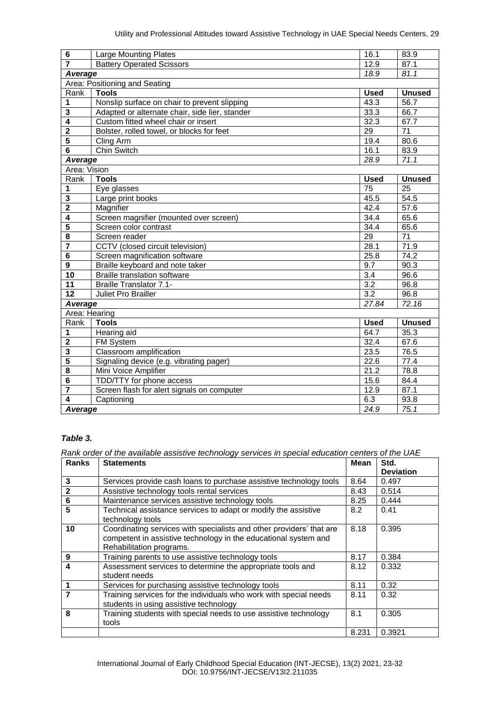| $\bf 6$                 | <b>Large Mounting Plates</b>                   | 16.1              | 83.9            |
|-------------------------|------------------------------------------------|-------------------|-----------------|
| $\overline{\mathbf{7}}$ | <b>Battery Operated Scissors</b>               | 12.9              | 87.1            |
| 18.9<br>Average         |                                                | 81.1              |                 |
|                         | Area: Positioning and Seating                  |                   |                 |
| Rank                    | <b>Tools</b>                                   | <b>Used</b>       | <b>Unused</b>   |
| 1                       | Nonslip surface on chair to prevent slipping   | 43.3              | 56.7            |
| 3                       | Adapted or alternate chair, side lier, stander | 33.3              | 66.7            |
| $\overline{4}$          | Custom fitted wheel chair or insert            | 32.3              | 67.7            |
| $\overline{\mathbf{2}}$ | Bolster, rolled towel, or blocks for feet      | $\overline{29}$   | $\overline{71}$ |
| 5                       | Cling Arm                                      | 19.4              | 80.6            |
| 6                       | <b>Chin Switch</b>                             | 16.1              | 83.9            |
| <b>Average</b>          |                                                | 28.9              | 71.1            |
| Area: Vision            |                                                |                   |                 |
| Rank                    | <b>Tools</b>                                   | <b>Used</b>       | <b>Unused</b>   |
| 1                       | Eye glasses                                    | 75                | 25              |
| 3                       | Large print books                              | 45.5              | 54.5            |
| $\overline{\mathbf{2}}$ | Magnifier                                      | 42.4              | 57.6            |
| 4                       | Screen magnifier (mounted over screen)         | 34.4              | 65.6            |
| $\overline{5}$          | Screen color contrast                          | 34.4              | 65.6            |
| 8                       | Screen reader                                  | 29                | 71              |
| 7                       | CCTV (closed circuit television)               | 28.1              | 71.9            |
| 6                       | Screen magnification software                  | 25.8              | 74.2            |
| $\overline{9}$          | Braille keyboard and note taker                | 9.7               | 90.3            |
| 10                      | <b>Braille translation software</b>            | 3.4               | 96.6            |
| 11                      | <b>Braille Translator 7.1-</b>                 | $\overline{3.2}$  | 96.8            |
| 12                      | <b>Juliet Pro Brailler</b>                     | 3.2               | 96.8            |
| Average                 |                                                | 27.84             | 72.16           |
|                         | Area: Hearing                                  |                   |                 |
| Rank                    | <b>Tools</b>                                   | <b>Used</b>       | <b>Unused</b>   |
| 1                       | Hearing aid                                    | 64.7              | 35.3            |
| $\mathbf 2$             | FM System                                      | 32.4              | 67.6            |
| 3                       | Classroom amplification                        | 23.5              | 76.5            |
| $\overline{\mathbf{5}}$ | Signaling device (e.g. vibrating pager)        | 22.6              | 77.4            |
| 8                       | Mini Voice Amplifier                           | 21.2              | 78.8            |
| 6                       | TDD/TTY for phone access                       | 15.6              | 84.4            |
| $\overline{\mathbf{7}}$ | Screen flash for alert signals on computer     | 12.9              | 87.1            |
| $\overline{4}$          | Captioning                                     | $6.\overline{3}$  | 93.8            |
| Average                 |                                                | $\overline{24.9}$ | 75.1            |

## *Table 3.*

*Rank order of the available assistive technology services in special education centers of the UAE*

| <b>Ranks</b> | <b>Statements</b>                                                                                                                                                   | <b>Mean</b> | Std.<br><b>Deviation</b> |
|--------------|---------------------------------------------------------------------------------------------------------------------------------------------------------------------|-------------|--------------------------|
| 3            | Services provide cash loans to purchase assistive technology tools                                                                                                  | 8.64        | 0.497                    |
| $\mathbf{2}$ | Assistive technology tools rental services                                                                                                                          | 8.43        | 0.514                    |
| $\bf 6$      | Maintenance services assistive technology tools                                                                                                                     | 8.25        | 0.444                    |
| 5            | Technical assistance services to adapt or modify the assistive<br>technology tools                                                                                  | 8.2         | 0.41                     |
| 10           | Coordinating services with specialists and other providers' that are<br>competent in assistive technology in the educational system and<br>Rehabilitation programs. | 8.18        | 0.395                    |
| 9            | Training parents to use assistive technology tools                                                                                                                  | 8.17        | 0.384                    |
| 4            | Assessment services to determine the appropriate tools and<br>student needs                                                                                         | 8.12        | 0.332                    |
|              | Services for purchasing assistive technology tools                                                                                                                  | 8.11        | 0.32                     |
| 7            | Training services for the individuals who work with special needs<br>students in using assistive technology                                                         | 8.11        | 0.32                     |
| 8            | Training students with special needs to use assistive technology<br>tools                                                                                           | 8.1         | 0.305                    |
|              |                                                                                                                                                                     | 8.231       | 0.3921                   |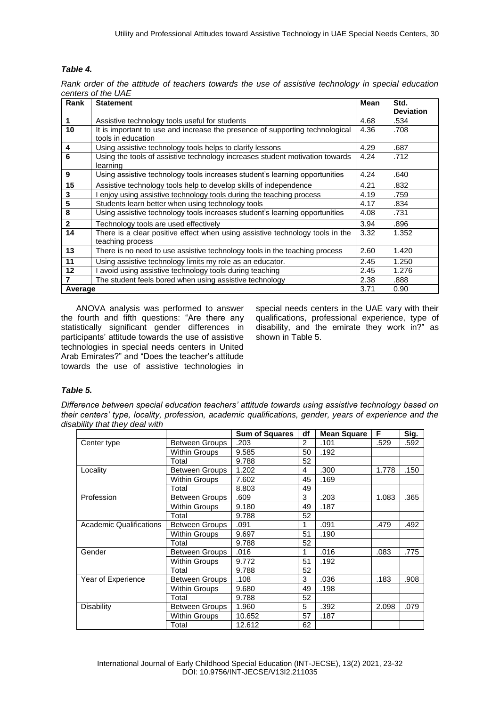## *Table 4.*

| Rank order of the attitude of teachers towards the use of assistive technology in special education |  |  |  |  |  |
|-----------------------------------------------------------------------------------------------------|--|--|--|--|--|
| centers of the UAE                                                                                  |  |  |  |  |  |

| Rank         | <b>Statement</b>                                                                                   | <b>Mean</b> | Std.             |
|--------------|----------------------------------------------------------------------------------------------------|-------------|------------------|
|              |                                                                                                    |             | <b>Deviation</b> |
| 1            | Assistive technology tools useful for students                                                     | 4.68        | .534             |
| 10           | It is important to use and increase the presence of supporting technological<br>tools in education | 4.36        | .708             |
| 4            | Using assistive technology tools helps to clarify lessons                                          | 4.29        | .687             |
| 6            | Using the tools of assistive technology increases student motivation towards<br>learning           | 4.24        | .712             |
| 9            | Using assistive technology tools increases student's learning opportunities                        | 4.24        | .640             |
| 15           | Assistive technology tools help to develop skills of independence                                  | 4.21        | .832             |
| 3            | enjoy using assistive technology tools during the teaching process                                 | 4.19        | .759             |
| 5            | Students learn better when using technology tools                                                  | 4.17        | .834             |
| 8            | Using assistive technology tools increases student's learning opportunities                        | 4.08        | .731             |
| $\mathbf{2}$ | Technology tools are used effectively                                                              | 3.94        | .896             |
| 14           | There is a clear positive effect when using assistive technology tools in the<br>teaching process  | 3.32        | 1.352            |
| 13           | There is no need to use assistive technology tools in the teaching process                         | 2.60        | 1.420            |
| 11           | Using assistive technology limits my role as an educator.                                          | 2.45        | 1.250            |
| 12           | avoid using assistive technology tools during teaching                                             | 2.45        | 1.276            |
|              | The student feels bored when using assistive technology                                            | 2.38        | .888             |
| Average      |                                                                                                    | 3.71        | 0.90             |

ANOVA analysis was performed to answer the fourth and fifth questions: "Are there any statistically significant gender differences in participants' attitude towards the use of assistive technologies in special needs centers in United Arab Emirates?" and "Does the teacher's attitude towards the use of assistive technologies in

special needs centers in the UAE vary with their qualifications, professional experience, type of disability, and the emirate they work in?" as shown in Table 5.

#### *Table 5.*

*Difference between special education teachers' attitude towards using assistive technology based on their centers' type, locality, profession, academic qualifications, gender, years of experience and the disability that they deal with*

|                                |                       | <b>Sum of Squares</b> | df             | <b>Mean Square</b> | F     | Sig. |
|--------------------------------|-----------------------|-----------------------|----------------|--------------------|-------|------|
| Center type                    | Between Groups        | .203                  | $\overline{2}$ | .101               | .529  | .592 |
|                                | Within Groups         | 9.585                 | 50             | .192               |       |      |
|                                | Total                 | 9.788                 | 52             |                    |       |      |
| Locality                       | Between Groups        | 1.202                 | 4              | .300               | 1.778 | .150 |
|                                | Within Groups         | 7.602                 | 45             | .169               |       |      |
|                                | Total                 | 8.803                 | 49             |                    |       |      |
| Profession                     | <b>Between Groups</b> | .609                  | 3              | .203               | 1.083 | .365 |
|                                | Within Groups         | 9.180                 | 49             | .187               |       |      |
|                                | Total                 | 9.788                 | 52             |                    |       |      |
| <b>Academic Qualifications</b> | Between Groups        | .091                  | 1              | .091               | .479  | .492 |
|                                | Within Groups         | 9.697                 | 51             | .190               |       |      |
|                                | Total                 | 9.788                 | 52             |                    |       |      |
| Gender                         | Between Groups        | .016                  | 1              | .016               | .083  | .775 |
|                                | Within Groups         | 9.772                 | 51             | .192               |       |      |
|                                | Total                 | 9.788                 | 52             |                    |       |      |
| Year of Experience             | <b>Between Groups</b> | .108                  | 3              | .036               | .183  | .908 |
|                                | Within Groups         | 9.680                 | 49             | .198               |       |      |
|                                | Total                 | 9.788                 | 52             |                    |       |      |
| <b>Disability</b>              | Between Groups        | 1.960                 | 5              | .392               | 2.098 | .079 |
|                                | Within Groups         | 10.652                | 57             | .187               |       |      |
|                                | Total                 | 12.612                | 62             |                    |       |      |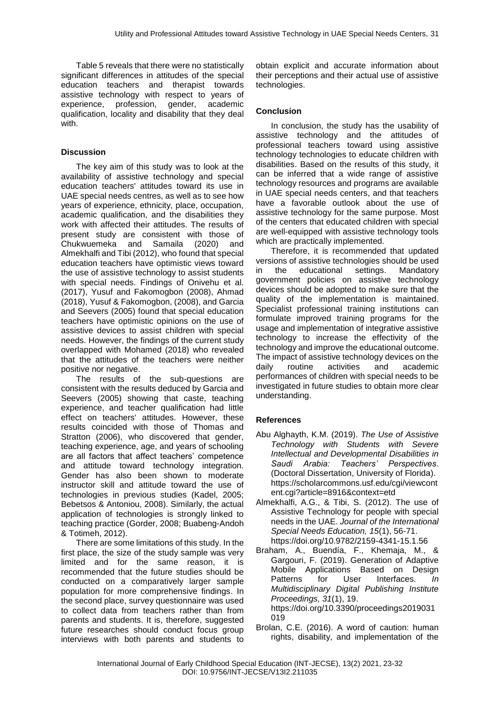Table 5 reveals that there were no statistically significant differences in attitudes of the special education teachers and therapist towards assistive technology with respect to years of experience, profession, gender, academic qualification, locality and disability that they deal with.

#### **Discussion**

The key aim of this study was to look at the availability of assistive technology and special education teachers' attitudes toward its use in UAE special needs centres, as well as to see how years of experience, ethnicity, place, occupation, academic qualification, and the disabilities they work with affected their attitudes. The results of present study are consistent with those of Chukwuemeka and Samaila (2020) and Almekhalfi and Tibi (2012), who found that special education teachers have optimistic views toward the use of assistive technology to assist students with special needs. Findings of Onivehu et al. (2017), Yusuf and Fakomogbon (2008), Ahmad (2018), Yusuf & Fakomogbon, (2008), and Garcia and Seevers (2005) found that special education teachers have optimistic opinions on the use of assistive devices to assist children with special needs. However, the findings of the current study overlapped with Mohamed (2018) who revealed that the attitudes of the teachers were neither positive nor negative.

The results of the sub-questions are consistent with the results deduced by Garcia and Seevers (2005) showing that caste, teaching experience, and teacher qualification had little effect on teachers' attitudes. However, these results coincided with those of Thomas and Stratton (2006), who discovered that gender, teaching experience, age, and years of schooling are all factors that affect teachers' competence and attitude toward technology integration. Gender has also been shown to moderate instructor skill and attitude toward the use of technologies in previous studies (Kadel, 2005; Bebetsos & Antoniou, 2008). Similarly, the actual application of technologies is strongly linked to teaching practice (Gorder, 2008; Buabeng-Andoh & Totimeh, 2012).

There are some limitations of this study. In the first place, the size of the study sample was very limited and for the same reason, it is recommended that the future studies should be conducted on a comparatively larger sample population for more comprehensive findings. In the second place, survey questionnaire was used to collect data from teachers rather than from parents and students. It is, therefore, suggested future researches should conduct focus group interviews with both parents and students to

obtain explicit and accurate information about their perceptions and their actual use of assistive technologies.

#### **Conclusion**

In conclusion, the study has the usability of assistive technology and the attitudes of professional teachers toward using assistive technology technologies to educate children with disabilities. Based on the results of this study, it can be inferred that a wide range of assistive technology resources and programs are available in UAE special needs centers, and that teachers have a favorable outlook about the use of assistive technology for the same purpose. Most of the centers that educated children with special are well-equipped with assistive technology tools which are practically implemented.

Therefore, it is recommended that updated versions of assistive technologies should be used in the educational settings. Mandatory government policies on assistive technology devices should be adopted to make sure that the quality of the implementation is maintained. Specialist professional training institutions can formulate improved training programs for the usage and implementation of integrative assistive technology to increase the effectivity of the technology and improve the educational outcome. The impact of assistive technology devices on the daily routine activities and academic performances of children with special needs to be investigated in future studies to obtain more clear understanding.

#### **References**

- Abu Alghayth, K.M. (2019). *The Use of Assistive Technology with Students with Severe Intellectual and Developmental Disabilities in Saudi Arabia: Teachers' Perspectives*. (Doctoral Dissertation, University of Florida). https://scholarcommons.usf.edu/cgi/viewcont ent.cgi?article=8916&context=etd
- Almekhalfi, A.G., & Tibi, S. (2012). The use of Assistive Technology for people with special needs in the UAE. *Journal of the International Special Needs Education, 15*(1), 56-71. https://doi.org/10.9782/2159-4341-15.1.56
- Braham, A., Buendía, F., Khemaja, M., & Gargouri, F. (2019). Generation of Adaptive Mobile Applications Based on Design Patterns for User Interfaces. *In Multidisciplinary Digital Publishing Institute Proceedings, 31*(1), 19. https://doi.org/10.3390/proceedings2019031 019
- Brolan, C.E. (2016). A word of caution: human rights, disability, and implementation of the